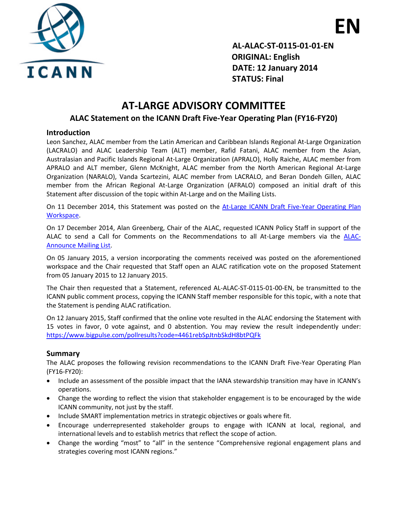

 **EN AL-ALAC-ST-0115-01-01-EN ORIGINAL: English DATE: 12 January 2014 STATUS: Final**

# **AT-LARGE ADVISORY COMMITTEE**

## **ALAC Statement on the ICANN Draft Five-Year Operating Plan (FY16-FY20)**

#### **Introduction**

Leon Sanchez, ALAC member from the Latin American and Caribbean Islands Regional At-Large Organization (LACRALO) and ALAC Leadership Team (ALT) member, Rafid Fatani, ALAC member from the Asian, Australasian and Pacific Islands Regional At-Large Organization (APRALO), Holly Raiche, ALAC member from APRALO and ALT member, Glenn McKnight, ALAC member from the North American Regional At-Large Organization (NARALO), Vanda Scartezini, ALAC member from LACRALO, and Beran Dondeh Gillen, ALAC member from the African Regional At-Large Organization (AFRALO) composed an initial draft of this Statement after discussion of the topic within At-Large and on the Mailing Lists.

On 11 December 2014, this Statement was posted on the [At-Large ICANN Draft Five-Year Operating Plan](https://community.icann.org/x/izTxAg)  [Workspace.](https://community.icann.org/x/izTxAg)

On 17 December 2014, Alan Greenberg, Chair of the ALAC, requested ICANN Policy Staff in support of the ALAC to send a Call for Comments on the Recommendations to all At-Large members via the [ALAC-](http://atlarge-lists.icann.org/pipermail/alac-announce/2014-December/002226.html)[Announce Mailing List.](http://atlarge-lists.icann.org/pipermail/alac-announce/2014-December/002226.html)

On 05 January 2015, a version incorporating the comments received was posted on the aforementioned workspace and the Chair requested that Staff open an ALAC ratification vote on the proposed Statement from 05 January 2015 to 12 January 2015.

The Chair then requested that a Statement, referenced AL-ALAC-ST-0115-01-00-EN, be transmitted to the ICANN public comment process, copying the ICANN Staff member responsible for this topic, with a note that the Statement is pending ALAC ratification.

On 12 January 2015, Staff confirmed that the online vote resulted in the ALAC endorsing the Statement with 15 votes in favor, 0 vote against, and 0 abstention. You may review the result independently under: <https://www.bigpulse.com/pollresults?code=4461rebSpJtnbSkdH8btPQFk>

### **Summary**

The ALAC proposes the following revision recommendations to the ICANN Draft Five-Year Operating Plan (FY16-FY20):

- Include an assessment of the possible impact that the IANA stewardship transition may have in ICANN's operations.
- Change the wording to reflect the vision that stakeholder engagement is to be encouraged by the wide ICANN community, not just by the staff.
- Include SMART implementation metrics in strategic objectives or goals where fit.
- Encourage underrepresented stakeholder groups to engage with ICANN at local, regional, and international levels and to establish metrics that reflect the scope of action.
- Change the wording "most" to "all" in the sentence "Comprehensive regional engagement plans and strategies covering most ICANN regions."